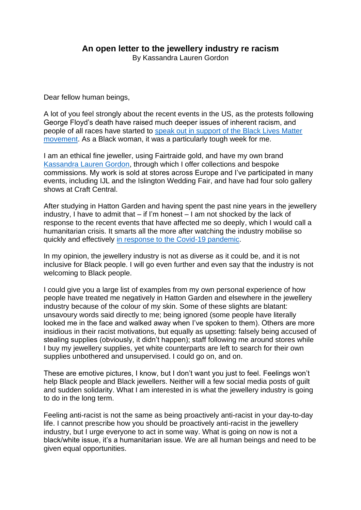## **An open letter to the jewellery industry re racism**

By Kassandra Lauren Gordon

Dear fellow human beings,

A lot of you feel strongly about the recent events in the US, as the protests following George Floyd's death have raised much deeper issues of inherent racism, and people of all races have started to [speak out in support of the Black Lives Matter](https://www.theguardian.com/us-news/black-lives-matter-movement)  [movement.](https://www.theguardian.com/us-news/black-lives-matter-movement) As a Black woman, it was a particularly tough week for me.

I am an ethical fine jeweller, using Fairtraide gold, and have my own brand [Kassandra Lauren Gordon,](http://www.kassandralaurengordon.com/) through which I offer collections and bespoke commissions. My work is sold at stores across Europe and I've participated in many events, including IJL and the Islington Wedding Fair, and have had four solo gallery shows at Craft Central.

After studying in Hatton Garden and having spent the past nine years in the jewellery industry, I have to admit that – if I'm honest – I am not shocked by the lack of response to the recent events that have affected me so deeply, which I would call a humanitarian crisis. It smarts all the more after watching the industry mobilise so quickly and effectively [in response to the Covid-19 pandemic.](https://jewellerycut.com/deals-competitions-digital-events-and-charitable-doings-coronavirus/)

In my opinion, the jewellery industry is not as diverse as it could be, and it is not inclusive for Black people. I will go even further and even say that the industry is not welcoming to Black people.

I could give you a large list of examples from my own personal experience of how people have treated me negatively in Hatton Garden and elsewhere in the jewellery industry because of the colour of my skin. Some of these slights are blatant: unsavoury words said directly to me; being ignored (some people have literally looked me in the face and walked away when I've spoken to them). Others are more insidious in their racist motivations, but equally as upsetting: falsely being accused of stealing supplies (obviously, it didn't happen); staff following me around stores while I buy my jewellery supplies, yet white counterparts are left to search for their own supplies unbothered and unsupervised. I could go on, and on.

These are emotive pictures, I know, but I don't want you just to feel. Feelings won't help Black people and Black jewellers. Neither will a few social media posts of guilt and sudden solidarity. What I am interested in is what the jewellery industry is going to do in the long term.

Feeling anti-racist is not the same as being proactively anti-racist in your day-to-day life. I cannot prescribe how you should be proactively anti-racist in the jewellery industry, but I urge everyone to act in some way. What is going on now is not a black/white issue, it's a humanitarian issue. We are all human beings and need to be given equal opportunities.